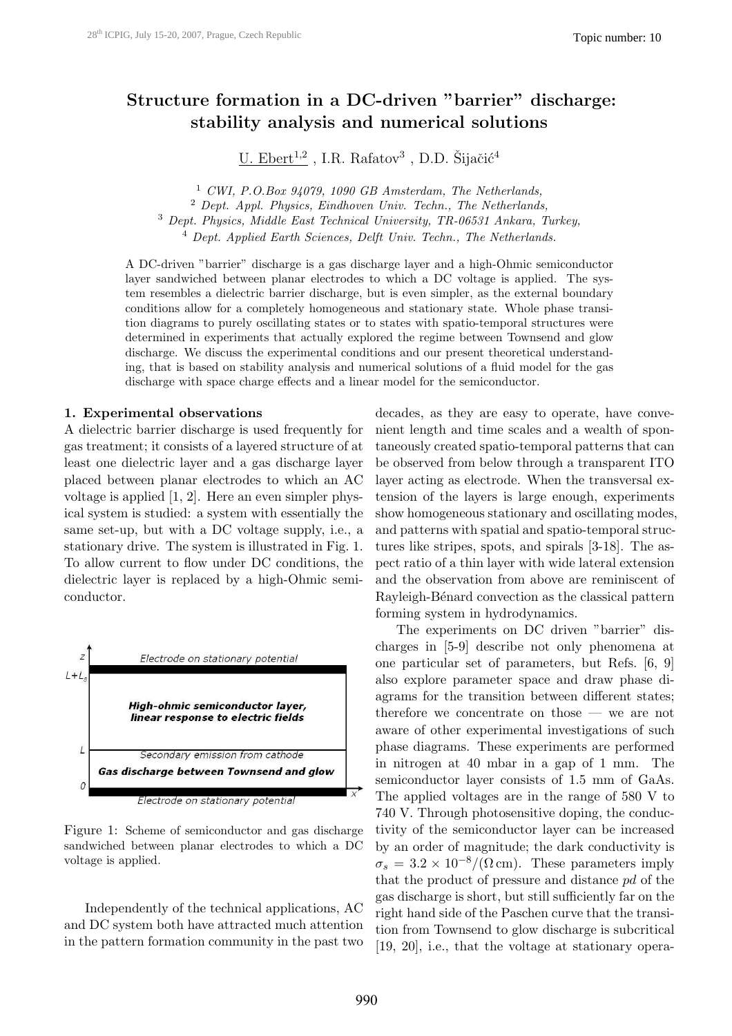# Structure formation in a DC-driven "barrier" discharge: stability analysis and numerical solutions

 $U.$  Ebert<sup>1,2</sup>, I.R. Rafatov<sup>3</sup>, D.D. Šijačić<sup>4</sup>

 CWI, P.O.Box 94079, 1090 GB Amsterdam, The Netherlands, Dept. Appl. Physics, Eindhoven Univ. Techn., The Netherlands, Dept. Physics, Middle East Technical University, TR-06531 Ankara, Turkey, Dept. Applied Earth Sciences, Delft Univ. Techn., The Netherlands.

A DC-driven "barrier" discharge is a gas discharge layer and a high-Ohmic semiconductor layer sandwiched between planar electrodes to which a DC voltage is applied. The system resembles a dielectric barrier discharge, but is even simpler, as the external boundary conditions allow for a completely homogeneous and stationary state. Whole phase transition diagrams to purely oscillating states or to states with spatio-temporal structures were determined in experiments that actually explored the regime between Townsend and glow discharge. We discuss the experimental conditions and our present theoretical understanding, that is based on stability analysis and numerical solutions of a fluid model for the gas discharge with space charge effects and a linear model for the semiconductor.

#### 1. Experimental observations

A dielectric barrier discharge is used frequently for gas treatment; it consists of a layered structure of at least one dielectric layer and a gas discharge layer placed between planar electrodes to which an AC voltage is applied [1, 2]. Here an even simpler physical system is studied: a system with essentially the same set-up, but with a DC voltage supply, i.e., a stationary drive. The system is illustrated in Fig. 1. To allow current to flow under DC conditions, the dielectric layer is replaced by a high-Ohmic semiconductor.



Figure 1: Scheme of semiconductor and gas discharge sandwiched between planar electrodes to which a DC voltage is applied.

Independently of the technical applications, AC and DC system both have attracted much attention in the pattern formation community in the past two decades, as they are easy to operate, have convenient length and time scales and a wealth of spontaneously created spatio-temporal patterns that can be observed from below through a transparent ITO layer acting as electrode. When the transversal extension of the layers is large enough, experiments show homogeneous stationary and oscillating modes, and patterns with spatial and spatio-temporal structures like stripes, spots, and spirals [3-18]. The aspect ratio of a thin layer with wide lateral extension and the observation from above are reminiscent of Rayleigh-Bénard convection as the classical pattern forming system in hydrodynamics.

The experiments on DC driven "barrier" discharges in [5-9] describe not only phenomena at one particular set of parameters, but Refs. [6, 9] also explore parameter space and draw phase diagrams for the transition between different states; therefore we concentrate on those — we are not aware of other experimental investigations of such phase diagrams. These experiments are performed in nitrogen at 40 mbar in a gap of 1 mm. The semiconductor layer consists of 1.5 mm of GaAs. The applied voltages are in the range of 580 V to 740 V. Through photosensitive doping, the conductivity of the semiconductor layer can be increased by an order of magnitude; the dark conductivity is  $\sigma_s = 3.2 \times 10^{-8} / (\Omega \,\mathrm{cm})$ . These parameters imply that the product of pressure and distance pd of the gas discharge is short, but still sufficiently far on the right hand side of the Paschen curve that the transition from Townsend to glow discharge is subcritical [19, 20], i.e., that the voltage at stationary opera-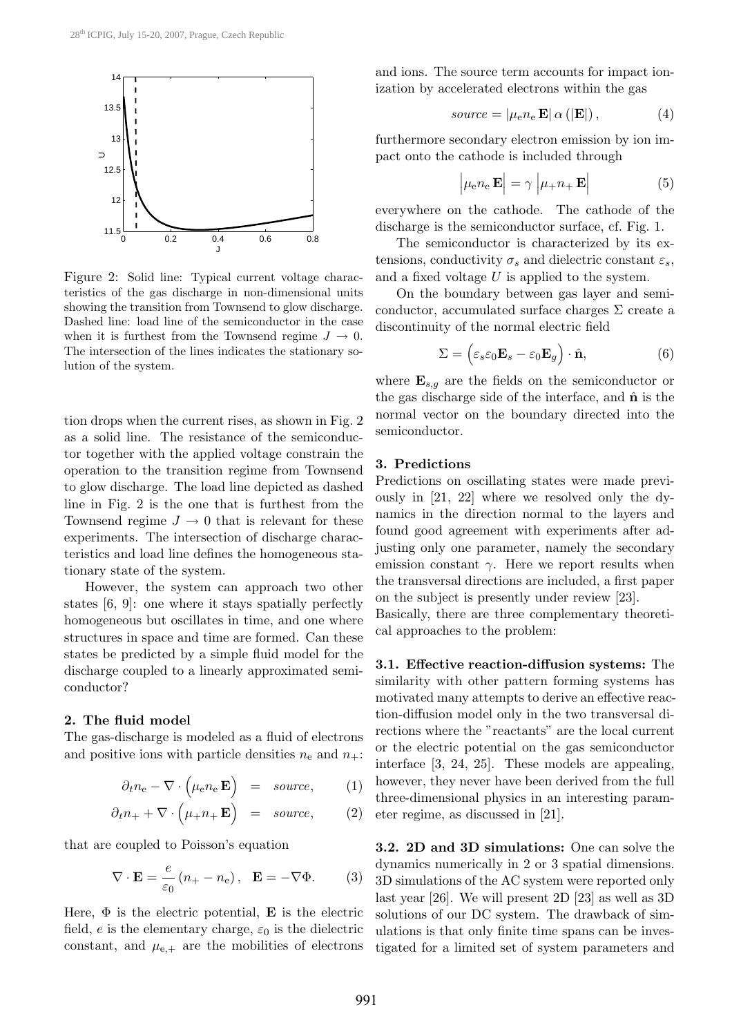

Figure 2: Solid line: Typical current voltage characteristics of the gas discharge in non-dimensional units showing the transition from Townsend to glow discharge. Dashed line: load line of the semiconductor in the case when it is furthest from the Townsend regime  $J \to 0$ . The intersection of the lines indicates the stationary solution of the system.

tion drops when the current rises, as shown in Fig. 2 as a solid line. The resistance of the semiconductor together with the applied voltage constrain the operation to the transition regime from Townsend to glow discharge. The load line depicted as dashed line in Fig. 2 is the one that is furthest from the Townsend regime  $J \to 0$  that is relevant for these experiments. The intersection of discharge characteristics and load line defines the homogeneous stationary state of the system.

However, the system can approach two other states [6, 9]: one where it stays spatially perfectly homogeneous but oscillates in time, and one where structures in space and time are formed. Can these states be predicted by a simple fluid model for the discharge coupled to a linearly approximated semiconductor?

#### 2. The fluid model

The gas-discharge is modeled as a fluid of electrons and positive ions with particle densities  $n_e$  and  $n_+$ :

$$
\partial_t n_{\rm e} - \nabla \cdot \left(\mu_{\rm e} n_{\rm e} \mathbf{E}\right) = source, \qquad (1)
$$

$$
\partial_t n_+ + \nabla \cdot \left(\mu_+ n_+ \mathbf{E}\right) = source, \qquad (2)
$$

that are coupled to Poisson's equation

$$
\nabla \cdot \mathbf{E} = \frac{e}{\varepsilon_0} (n_+ - n_e), \ \mathbf{E} = -\nabla \Phi.
$$
 (3)

Here,  $\Phi$  is the electric potential, **E** is the electric field, e is the elementary charge,  $\varepsilon_0$  is the dielectric constant, and  $\mu_{e,+}$  are the mobilities of electrons and ions. The source term accounts for impact ionization by accelerated electrons within the gas

$$
source = |\mu_{e} n_{e} \mathbf{E} | \alpha (|\mathbf{E}|), \qquad (4)
$$

furthermore secondary electron emission by ion impact onto the cathode is included through

$$
\left| \mu_{e} n_{e} \mathbf{E} \right| = \gamma \left| \mu_{+} n_{+} \mathbf{E} \right| \tag{5}
$$

everywhere on the cathode. The cathode of the discharge is the semiconductor surface, cf. Fig. 1.

The semiconductor is characterized by its extensions, conductivity  $\sigma_s$  and dielectric constant  $\varepsilon_s$ , and a fixed voltage  $U$  is applied to the system.

On the boundary between gas layer and semiconductor, accumulated surface charges  $\Sigma$  create a discontinuity of the normal electric field

$$
\Sigma = \left(\varepsilon_s \varepsilon_0 \mathbf{E}_s - \varepsilon_0 \mathbf{E}_g\right) \cdot \hat{\mathbf{n}},\tag{6}
$$

where  $\mathbf{E}_{s,q}$  are the fields on the semiconductor or the gas discharge side of the interface, and  $\hat{\mathbf{n}}$  is the normal vector on the boundary directed into the semiconductor.

### 3. Predictions

Predictions on oscillating states were made previously in [21, 22] where we resolved only the dynamics in the direction normal to the layers and found good agreement with experiments after adjusting only one parameter, namely the secondary emission constant  $\gamma$ . Here we report results when the transversal directions are included, a first paper on the subject is presently under review [23].

Basically, there are three complementary theoretical approaches to the problem:

3.1. Effective reaction-diffusion systems: The similarity with other pattern forming systems has motivated many attempts to derive an effective reaction-diffusion model only in the two transversal directions where the "reactants" are the local current or the electric potential on the gas semiconductor interface [3, 24, 25]. These models are appealing, however, they never have been derived from the full three-dimensional physics in an interesting parameter regime, as discussed in [21].

3.2. 2D and 3D simulations: One can solve the dynamics numerically in 2 or 3 spatial dimensions. 3D simulations of the AC system were reported only last year [26]. We will present 2D [23] as well as 3D solutions of our DC system. The drawback of simulations is that only finite time spans can be investigated for a limited set of system parameters and